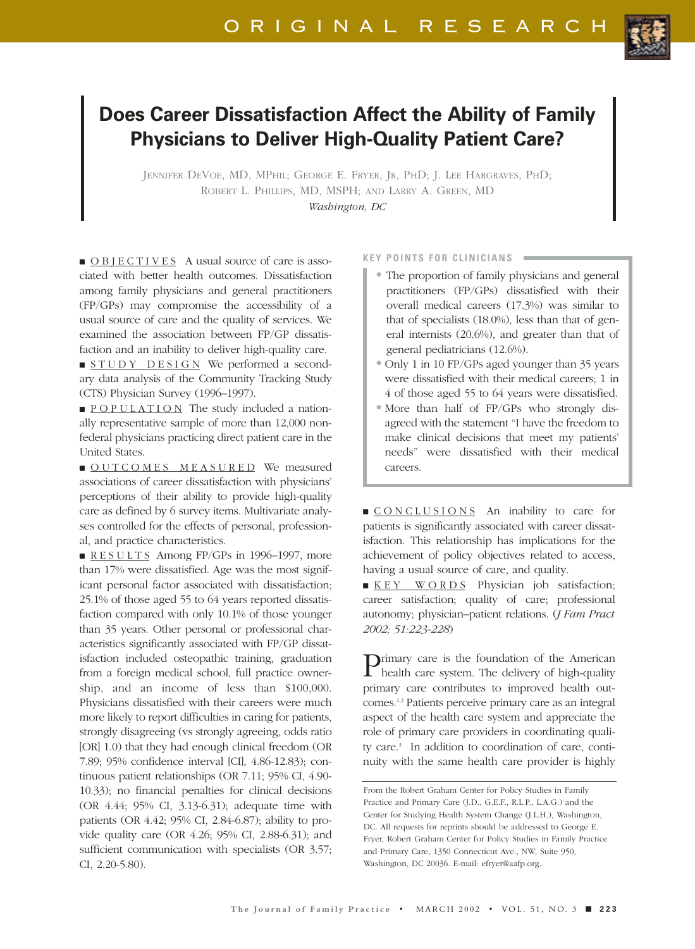# **Does Career Dissatisfaction Affect the Ability of Family Physicians to Deliver High-Quality Patient Care?**

JENNIFER DEVOE, MD, MPHIL; GEORGE E. FRYER, JR, PHD; J. LEE HARGRAVES, PHD; ROBERT L. PHILLIPS, MD, MSPH; AND LARRY A. GREEN, MD *Washington, DC*

■ OBJECTIVES A usual source of care is associated with better health outcomes. Dissatisfaction among family physicians and general practitioners (FP/GPs) may compromise the accessibility of a usual source of care and the quality of services. We examined the association between FP/GP dissatisfaction and an inability to deliver high-quality care.

■ STUDY DESIGN We performed a secondary data analysis of the Community Tracking Study (CTS) Physician Survey (1996–1997).

■ POPULATION The study included a nationally representative sample of more than 12,000 nonfederal physicians practicing direct patient care in the United States.

■ OUTCOMES MEASURED We measured associations of career dissatisfaction with physicians' perceptions of their ability to provide high-quality care as defined by 6 survey items. Multivariate analyses controlled for the effects of personal, professional, and practice characteristics.

■ RESULTS Among FP/GPs in 1996–1997, more than 17% were dissatisfied. Age was the most significant personal factor associated with dissatisfaction; 25.1% of those aged 55 to 64 years reported dissatisfaction compared with only 10.1% of those younger than 35 years. Other personal or professional characteristics significantly associated with FP/GP dissatisfaction included osteopathic training, graduation from a foreign medical school, full practice ownership, and an income of less than \$100,000. Physicians dissatisfied with their careers were much more likely to report difficulties in caring for patients, strongly disagreeing (vs strongly agreeing, odds ratio [OR] 1.0) that they had enough clinical freedom (OR 7.89; 95% confidence interval [CI], 4.86-12.83); continuous patient relationships (OR 7.11; 95% CI, 4.90- 10.33); no financial penalties for clinical decisions (OR 4.44; 95% CI, 3.13-6.31); adequate time with patients (OR 4.42; 95% CI, 2.84-6.87); ability to provide quality care (OR 4.26; 95% CI, 2.88-6.31); and sufficient communication with specialists (OR 3.57; CI, 2.20-5.80).

### **KEY POINTS FOR CLINICIANS**

- The proportion of family physicians and general practitioners (FP/GPs) dissatisfied with their overall medical careers (17.3%) was similar to that of specialists (18.0%), less than that of general internists (20.6%), and greater than that of general pediatricians (12.6%).
- Only 1 in 10 FP/GPs aged younger than 35 years were dissatisfied with their medical careers; 1 in 4 of those aged 55 to 64 years were dissatisfied.
- More than half of FP/GPs who strongly disagreed with the statement "I have the freedom to make clinical decisions that meet my patients' needs" were dissatisfied with their medical careers.

■ CONCLUSIONS An inability to care for patients is significantly associated with career dissatisfaction. This relationship has implications for the achievement of policy objectives related to access, having a usual source of care, and quality.

■ KEY WORDS Physician job satisfaction; career satisfaction; quality of care; professional autonomy; physician–patient relations. (*J Fam Pract 2002; 51:223-228*)

**P**rimary care is the foundation of the American<br>health care system. The delivery of high-quality primary care contributes to improved health outcomes.1,2 Patients perceive primary care as an integral aspect of the health care system and appreciate the role of primary care providers in coordinating quality care.<sup>3</sup> In addition to coordination of care, continuity with the same health care provider is highly

From the Robert Graham Center for Policy Studies in Family Practice and Primary Care (J.D., G.E.F., R.L.P., L.A.G.) and the Center for Studying Health System Change (J.L.H.), Washington, DC. All requests for reprints should be addressed to George E. Fryer, Robert Graham Center for Policy Studies in Family Practice and Primary Care, 1350 Connecticut Ave., NW, Suite 950, Washington, DC 20036. E-mail: efryer@aafp.org.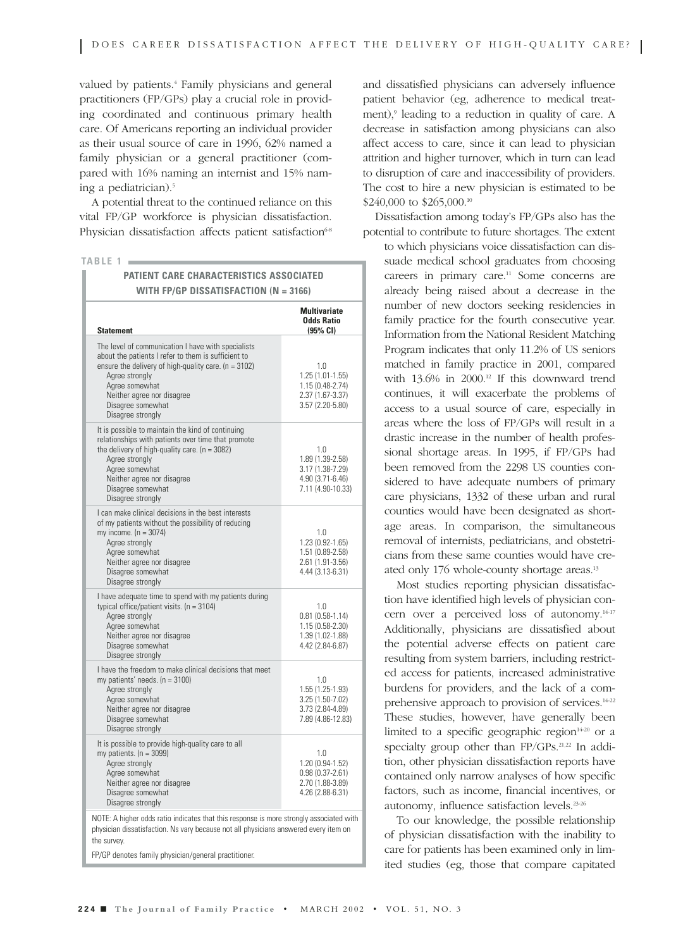valued by patients.<sup>4</sup> Family physicians and general practitioners (FP/GPs) play a crucial role in providing coordinated and continuous primary health care. Of Americans reporting an individual provider as their usual source of care in 1996, 62% named a family physician or a general practitioner (compared with 16% naming an internist and 15% naming a pediatrician).5

A potential threat to the continued reliance on this vital FP/GP workforce is physician dissatisfaction. Physician dissatisfaction affects patient satisfaction<sup>6-8</sup>

#### **TABLE 1**

| PATIENT CARE CHARACTERISTICS ASSOCIATED<br>WITH FP/GP DISSATISFACTION ( $N = 3166$ )                                                                                                                                                                                              |                                                                                        |  |
|-----------------------------------------------------------------------------------------------------------------------------------------------------------------------------------------------------------------------------------------------------------------------------------|----------------------------------------------------------------------------------------|--|
| <b>Statement</b>                                                                                                                                                                                                                                                                  | <b>Multivariate</b><br><b>Odds Ratio</b><br>(95% CI)                                   |  |
| The level of communication I have with specialists<br>about the patients I refer to them is sufficient to<br>ensure the delivery of high-quality care. ( $n = 3102$ )<br>Agree strongly<br>Agree somewhat<br>Neither agree nor disagree<br>Disagree somewhat<br>Disagree strongly | 1.0<br>$1.25(1.01-1.55)$<br>1.15 (0.48-2.74)<br>2.37 (1.67-3.37)<br>3.57 (2.20-5.80)   |  |
| It is possible to maintain the kind of continuing<br>relationships with patients over time that promote<br>the delivery of high-quality care. ( $n = 3082$ )<br>Agree strongly<br>Agree somewhat<br>Neither agree nor disagree<br>Disagree somewhat<br>Disagree strongly          | 1.0<br>1.89 (1.39-2.58)<br>3.17 (1.38-7.29)<br>4.90 (3.71-6.46)<br>7.11 (4.90-10.33)   |  |
| I can make clinical decisions in the best interests<br>of my patients without the possibility of reducing<br>my income. $(n = 3074)$<br>Agree strongly<br>Agree somewhat<br>Neither agree nor disagree<br>Disagree somewhat<br>Disagree strongly                                  | 1.0<br>1.23 (0.92-1.65)<br>1.51 (0.89-2.58)<br>2.61 (1.91-3.56)<br>4.44 (3.13-6.31)    |  |
| I have adequate time to spend with my patients during<br>typical office/patient visits. $(n = 3104)$<br>Agree strongly<br>Agree somewhat<br>Neither agree nor disagree<br>Disagree somewhat<br>Disagree strongly                                                                  | 1.0<br>$0.81(0.58-1.14)$<br>1.15 (0.58-2.30)<br>1.39 (1.02-1.88)<br>4.42 (2.84-6.87)   |  |
| I have the freedom to make clinical decisions that meet<br>my patients' needs. $(n = 3100)$<br>Agree strongly<br>Agree somewhat<br>Neither agree nor disagree<br>Disagree somewhat<br>Disagree strongly                                                                           | 1.0<br>1.55 (1.25-1.93)<br>3.25 (1.50-7.02)<br>3.73 (2.84-4.89)<br>7.89 (4.86-12.83)   |  |
| It is possible to provide high-quality care to all<br>my patients. ( $n = 3099$ )<br>Agree strongly<br>Agree somewhat<br>Neither agree nor disagree<br>Disagree somewhat<br>Disagree strongly                                                                                     | 1.0<br>1.20 (0.94-1.52)<br>$0.98(0.37 - 2.61)$<br>2.70 (1.88-3.89)<br>4.26 (2.88-6.31) |  |
| NOTE: A higher odds ratio indicates that this response is more strongly associated with<br>physician dissatisfaction. Ns vary because not all physicians answered every item on<br>the survey.                                                                                    |                                                                                        |  |

and dissatisfied physicians can adversely influence patient behavior (eg, adherence to medical treatment),<sup>9</sup> leading to a reduction in quality of care. A decrease in satisfaction among physicians can also affect access to care, since it can lead to physician attrition and higher turnover, which in turn can lead to disruption of care and inaccessibility of providers. The cost to hire a new physician is estimated to be \$240,000 to \$265,000.<sup>10</sup>

Dissatisfaction among today's FP/GPs also has the potential to contribute to future shortages. The extent

to which physicians voice dissatisfaction can dissuade medical school graduates from choosing careers in primary care.<sup>11</sup> Some concerns are already being raised about a decrease in the number of new doctors seeking residencies in family practice for the fourth consecutive year. Information from the National Resident Matching Program indicates that only 11.2% of US seniors matched in family practice in 2001, compared with 13.6% in 2000.<sup>12</sup> If this downward trend continues, it will exacerbate the problems of access to a usual source of care, especially in areas where the loss of FP/GPs will result in a drastic increase in the number of health professional shortage areas. In 1995, if FP/GPs had been removed from the 2298 US counties considered to have adequate numbers of primary care physicians, 1332 of these urban and rural counties would have been designated as shortage areas. In comparison, the simultaneous removal of internists, pediatricians, and obstetricians from these same counties would have created only 176 whole-county shortage areas.<sup>13</sup>

Most studies reporting physician dissatisfaction have identified high levels of physician concern over a perceived loss of autonomy.14-17 Additionally, physicians are dissatisfied about the potential adverse effects on patient care resulting from system barriers, including restricted access for patients, increased administrative burdens for providers, and the lack of a comprehensive approach to provision of services.14-22 These studies, however, have generally been limited to a specific geographic region $14-20$  or a specialty group other than FP/GPs.<sup>21,22</sup> In addition, other physician dissatisfaction reports have contained only narrow analyses of how specific factors, such as income, financial incentives, or autonomy, influence satisfaction levels.23-26

To our knowledge, the possible relationship of physician dissatisfaction with the inability to care for patients has been examined only in limited studies (eg, those that compare capitated

FP/GP denotes family physician/general practitioner.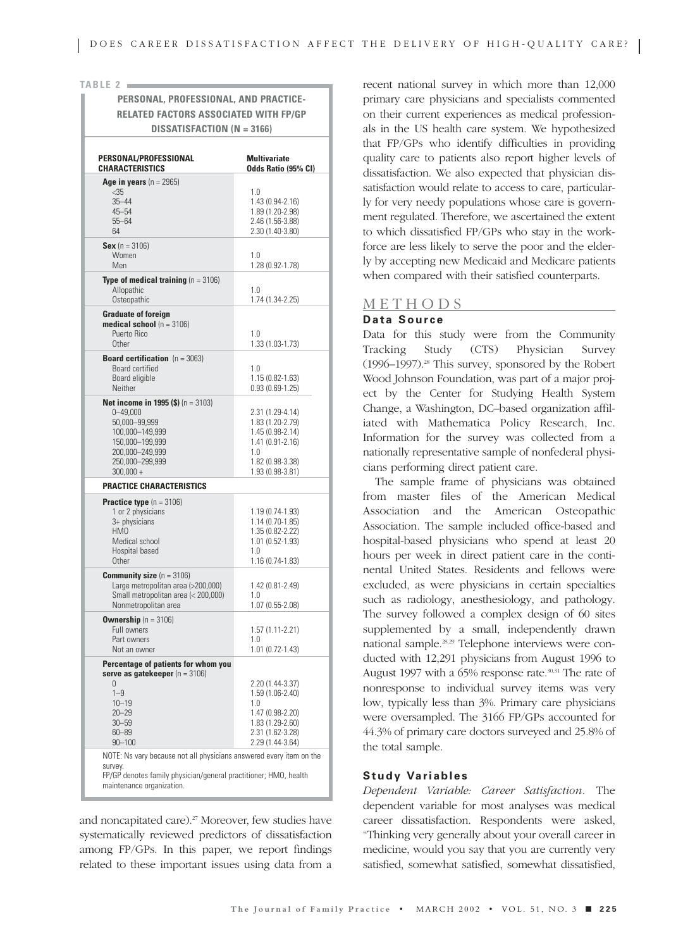**TABLE 2**

# **PERSONAL, PROFESSIONAL, AND PRACTICE-RELATED FACTORS ASSOCIATED WITH FP/GP DISSATISFACTION (N = 3166)**

| PERSONAL/PROFESSIONAL<br><b>CHARACTERISTICS</b>                                                                                                                                                                                                                                                                                                | <b>Multivariate</b><br>Odds Ratio (95% CI)                                                                                  |
|------------------------------------------------------------------------------------------------------------------------------------------------------------------------------------------------------------------------------------------------------------------------------------------------------------------------------------------------|-----------------------------------------------------------------------------------------------------------------------------|
| Age in years $(n = 2965)$<br>$<$ 35<br>$35 - 44$<br>$45 - 54$<br>$55 - 64$<br>64                                                                                                                                                                                                                                                               | 1.0<br>1.43 (0.94-2.16)<br>1.89 (1.20-2.98)<br>2.46 (1.56-3.88)<br>2.30 (1.40-3.80)                                         |
| <b>Sex</b> ( $n = 3106$ )<br>Women<br>Men                                                                                                                                                                                                                                                                                                      | 1.0<br>1.28 (0.92-1.78)                                                                                                     |
| <b>Type of medical training</b> $(n = 3106)$<br>Allopathic<br>Osteopathic                                                                                                                                                                                                                                                                      | 1.0<br>1.74 (1.34-2.25)                                                                                                     |
| <b>Graduate of foreign</b><br>medical school $(n = 3106)$<br>Puerto Rico<br>Other                                                                                                                                                                                                                                                              | 1.0<br>1.33 (1.03-1.73)                                                                                                     |
| <b>Board certification</b> $(n = 3063)$<br>Board certified<br>Board eligible<br>Neither                                                                                                                                                                                                                                                        | 1.0<br>1.15 (0.82-1.63)<br>$0.93(0.69-1.25)$                                                                                |
| <b>Net income in 1995 (\$)</b> $(n = 3103)$<br>$0 - 49.000$<br>50,000-99,999<br>100,000-149,999<br>150,000-199,999<br>200,000-249,999<br>250,000-299,999<br>$300,000 +$                                                                                                                                                                        | 2.31 (1.29-4.14)<br>1.83 (1.20-2.79)<br>1.45 (0.98-2.14)<br>1.41 (0.91-2.16)<br>1.0<br>1.82 (0.98-3.38)<br>1.93 (0.98-3.81) |
| <b>PRACTICE CHARACTERISTICS</b>                                                                                                                                                                                                                                                                                                                |                                                                                                                             |
| <b>Practice type</b> $(n = 3106)$<br>1 or 2 physicians<br>3+ physicians<br><b>HMO</b><br>Medical school<br>Hospital based<br>Other                                                                                                                                                                                                             | 1.19 (0.74-1.93)<br>1.14 (0.70-1.85)<br>1.35 (0.82-2.22)<br>1.01 (0.52-1.93)<br>1.0<br>1.16 (0.74-1.83)                     |
| <b>Community size</b> $(n = 3106)$<br>Large metropolitan area (>200,000)<br>Small metropolitan area (< 200,000)<br>Nonmetropolitan area                                                                                                                                                                                                        | 1.42 (0.81-2.49)<br>1.0<br>$1.07(0.55 - 2.08)$                                                                              |
| <b>Ownership</b> $(n = 3106)$<br>Full owners<br>Part owners<br>Not an owner                                                                                                                                                                                                                                                                    | $1.57(1.11 - 2.21)$<br>1.0<br>1.01 (0.72-1.43)                                                                              |
| Percentage of patients for whom you<br>serve as gatekeeper ( $n = 3106$ )<br>0<br>$1 - 9$<br>$10 - 19$<br>$20 - 29$<br>$30 - 59$<br>$60 - 89$<br>$90 - 100$<br>NOTE: Ns vary because not all physicians answered every item on the<br>survey.<br>FP/GP denotes family physician/general practitioner; HMO, health<br>maintenance organization. | 2.20 (1.44-3.37)<br>1.59 (1.06-2.40)<br>1.0<br>1.47 (0.98-2.20)<br>1.83 (1.29-2.60)<br>2.31 (1.62-3.28)<br>2.29 (1.44-3.64) |

and noncapitated care).<sup>27</sup> Moreover, few studies have systematically reviewed predictors of dissatisfaction among FP/GPs. In this paper, we report findings related to these important issues using data from a recent national survey in which more than 12,000 primary care physicians and specialists commented on their current experiences as medical professionals in the US health care system. We hypothesized that FP/GPs who identify difficulties in providing quality care to patients also report higher levels of dissatisfaction. We also expected that physician dissatisfaction would relate to access to care, particularly for very needy populations whose care is government regulated. Therefore, we ascertained the extent to which dissatisfied FP/GPs who stay in the workforce are less likely to serve the poor and the elderly by accepting new Medicaid and Medicare patients when compared with their satisfied counterparts.

# METHODS

### **Data Source**

Data for this study were from the Community Tracking Study (CTS) Physician Survey (1996–1997).28 This survey, sponsored by the Robert Wood Johnson Foundation, was part of a major project by the Center for Studying Health System Change, a Washington, DC–based organization affiliated with Mathematica Policy Research, Inc. Information for the survey was collected from a nationally representative sample of nonfederal physicians performing direct patient care.

The sample frame of physicians was obtained from master files of the American Medical Association and the American Osteopathic Association. The sample included office-based and hospital-based physicians who spend at least 20 hours per week in direct patient care in the continental United States. Residents and fellows were excluded, as were physicians in certain specialties such as radiology, anesthesiology, and pathology. The survey followed a complex design of 60 sites supplemented by a small, independently drawn national sample.28,29 Telephone interviews were conducted with 12,291 physicians from August 1996 to August 1997 with a 65% response rate.<sup>30,31</sup> The rate of nonresponse to individual survey items was very low, typically less than 3%. Primary care physicians were oversampled. The 3166 FP/GPs accounted for 44.3% of primary care doctors surveyed and 25.8% of the total sample.

# **Study Variables**

*Dependent Variable: Career Satisfaction*. The dependent variable for most analyses was medical career dissatisfaction. Respondents were asked, "Thinking very generally about your overall career in medicine, would you say that you are currently very satisfied, somewhat satisfied, somewhat dissatisfied,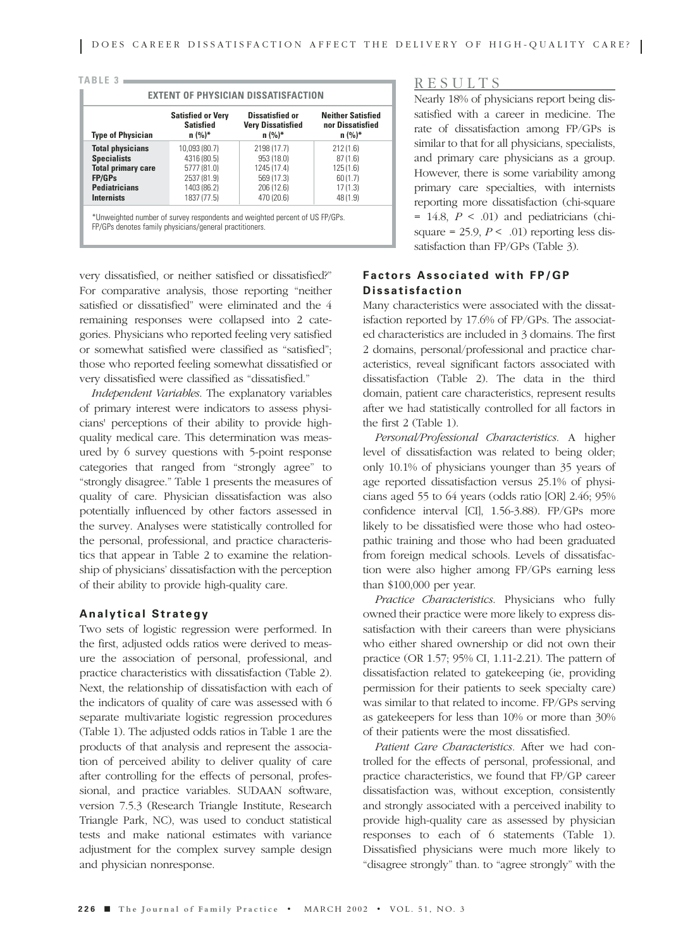| <b>Type of Physician</b>  | <b>Satisfied or Very</b><br><b>Satisfied</b><br>$n (%)*$ | <b>Dissatisfied or</b><br><b>Very Dissatisfied</b><br>$n (%)*$ | <b>Neither Satisfied</b><br>nor Dissatisfied<br>$n (%)*$ |
|---------------------------|----------------------------------------------------------|----------------------------------------------------------------|----------------------------------------------------------|
| <b>Total physicians</b>   | 10.093 (80.7)                                            | 2198 (17.7)                                                    | 212(1.6)                                                 |
| <b>Specialists</b>        | 4316 (80.5)                                              | 953 (18.0)                                                     | 87(1.6)                                                  |
| <b>Total primary care</b> | 5777 (81.0)                                              | 1245 (17.4)                                                    | 125(1.6)                                                 |
| <b>FP/GPs</b>             | 2537 (81.9)                                              | 569 (17.3)                                                     | 60(1.7)                                                  |
| <b>Pediatricians</b>      | 1403 (86.2)                                              | 206 (12.6)                                                     | 17(1.3)                                                  |
| <b>Internists</b>         | 1837 (77.5)                                              | 470 (20.6)                                                     | 48(1.9)                                                  |

very dissatisfied, or neither satisfied or dissatisfied?" For comparative analysis, those reporting "neither satisfied or dissatisfied" were eliminated and the 4 remaining responses were collapsed into 2 categories. Physicians who reported feeling very satisfied or somewhat satisfied were classified as "satisfied"; those who reported feeling somewhat dissatisfied or very dissatisfied were classified as "dissatisfied."

*Independent Variables*. The explanatory variables of primary interest were indicators to assess physicians' perceptions of their ability to provide highquality medical care. This determination was measured by 6 survey questions with 5-point response categories that ranged from "strongly agree" to "strongly disagree." Table 1 presents the measures of quality of care. Physician dissatisfaction was also potentially influenced by other factors assessed in the survey. Analyses were statistically controlled for the personal, professional, and practice characteristics that appear in Table 2 to examine the relationship of physicians' dissatisfaction with the perception of their ability to provide high-quality care.

### **Analytical Strategy**

Two sets of logistic regression were performed. In the first, adjusted odds ratios were derived to measure the association of personal, professional, and practice characteristics with dissatisfaction (Table 2). Next, the relationship of dissatisfaction with each of the indicators of quality of care was assessed with 6 separate multivariate logistic regression procedures (Table 1). The adjusted odds ratios in Table 1 are the products of that analysis and represent the association of perceived ability to deliver quality of care after controlling for the effects of personal, professional, and practice variables. SUDAAN software, version 7.5.3 (Research Triangle Institute, Research Triangle Park, NC), was used to conduct statistical tests and make national estimates with variance adjustment for the complex survey sample design and physician nonresponse.

# RESULTS

Nearly 18% of physicians report being dissatisfied with a career in medicine. The rate of dissatisfaction among FP/GPs is similar to that for all physicians, specialists, and primary care physicians as a group. However, there is some variability among primary care specialties, with internists reporting more dissatisfaction (chi-square = 14.8, *P* < .01) and pediatricians (chisquare = 25.9,  $P \lt 0.01$  reporting less dissatisfaction than FP/GPs (Table 3).

# **Factors Associated with FP/GP Dissatisfaction**

Many characteristics were associated with the dissatisfaction reported by 17.6% of FP/GPs. The associated characteristics are included in 3 domains. The first 2 domains, personal/professional and practice characteristics, reveal significant factors associated with dissatisfaction (Table 2). The data in the third domain, patient care characteristics, represent results after we had statistically controlled for all factors in the first 2 (Table 1).

*Personal/Professional Characteristics*. A higher level of dissatisfaction was related to being older; only 10.1% of physicians younger than 35 years of age reported dissatisfaction versus 25.1% of physicians aged 55 to 64 years (odds ratio [OR] 2.46; 95% confidence interval [CI], 1.56-3.88). FP/GPs more likely to be dissatisfied were those who had osteopathic training and those who had been graduated from foreign medical schools. Levels of dissatisfaction were also higher among FP/GPs earning less than \$100,000 per year.

*Practice Characteristics*. Physicians who fully owned their practice were more likely to express dissatisfaction with their careers than were physicians who either shared ownership or did not own their practice (OR 1.57; 95% CI, 1.11-2.21). The pattern of dissatisfaction related to gatekeeping (ie, providing permission for their patients to seek specialty care) was similar to that related to income. FP/GPs serving as gatekeepers for less than 10% or more than 30% of their patients were the most dissatisfied.

*Patient Care Characteristics.* After we had controlled for the effects of personal, professional, and practice characteristics, we found that FP/GP career dissatisfaction was, without exception, consistently and strongly associated with a perceived inability to provide high-quality care as assessed by physician responses to each of 6 statements (Table 1). Dissatisfied physicians were much more likely to "disagree strongly" than. to "agree strongly" with the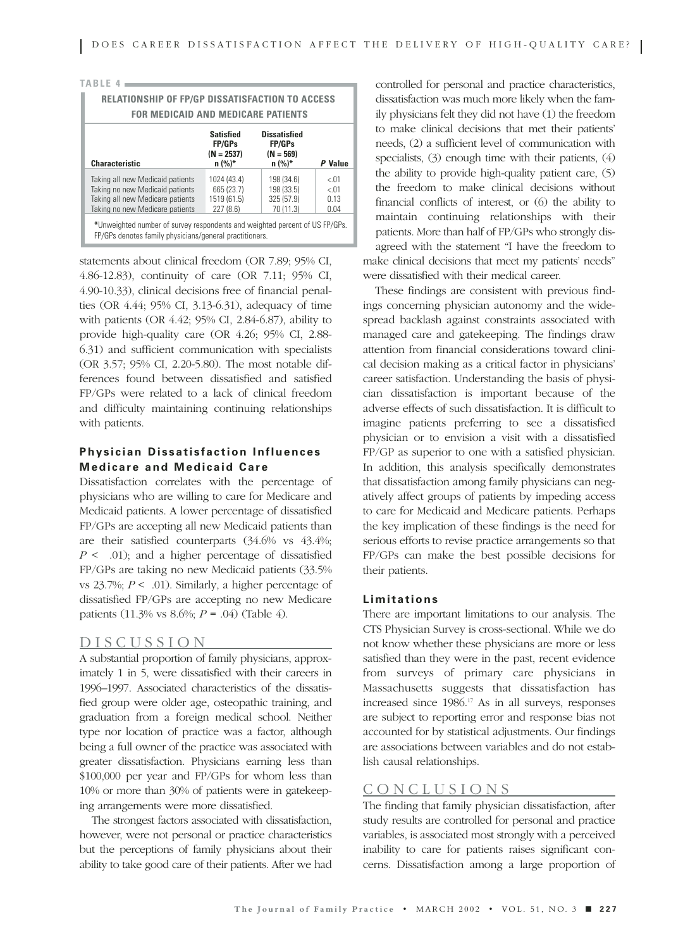| <b>RELATIONSHIP OF FP/GP DISSATISFACTION TO ACCESS</b><br><b>FOR MEDICAID AND MEDICARE PATIENTS</b> |                                                               |                                                                 |         |  |  |
|-----------------------------------------------------------------------------------------------------|---------------------------------------------------------------|-----------------------------------------------------------------|---------|--|--|
| <b>Characteristic</b>                                                                               | <b>Satisfied</b><br><b>FP/GPs</b><br>$(N = 2537)$<br>$n (%)*$ | <b>Dissatisfied</b><br><b>FP/GPs</b><br>$(N = 569)$<br>$n (%)*$ | P Value |  |  |
| Taking all new Medicaid patients                                                                    | 1024 (43.4)                                                   | 198 (34.6)                                                      | < 01    |  |  |
| Taking no new Medicaid patients                                                                     | 665 (23.7)                                                    | 198 (33.5)                                                      | < 01    |  |  |
| Taking all new Medicare patients                                                                    | 1519 (61.5)                                                   | 325 (57.9)                                                      | 0.13    |  |  |
| Taking no new Medicare patients                                                                     | 227 (8.6)                                                     | 70 (11.3)                                                       | 0.04    |  |  |

statements about clinical freedom (OR 7.89; 95% CI, 4.86-12.83), continuity of care (OR 7.11; 95% CI, 4.90-10.33), clinical decisions free of financial penalties (OR 4.44; 95% CI, 3.13-6.31), adequacy of time with patients (OR 4.42; 95% CI, 2.84-6.87), ability to provide high-quality care (OR 4.26; 95% CI, 2.88- 6.31) and sufficient communication with specialists (OR 3.57; 95% CI, 2.20-5.80). The most notable differences found between dissatisfied and satisfied FP/GPs were related to a lack of clinical freedom and difficulty maintaining continuing relationships with patients.

# **Physician Dissatisfaction Influences Medicare and Medicaid Care**

Dissatisfaction correlates with the percentage of physicians who are willing to care for Medicare and Medicaid patients. A lower percentage of dissatisfied FP/GPs are accepting all new Medicaid patients than are their satisfied counterparts (34.6% vs 43.4%; *P* < .01); and a higher percentage of dissatisfied FP/GPs are taking no new Medicaid patients (33.5% vs 23.7%; *P* < .01). Similarly, a higher percentage of dissatisfied FP/GPs are accepting no new Medicare patients (11.3% vs 8.6%; *P* = .04) (Table 4).

# DISCUSSION

A substantial proportion of family physicians, approximately 1 in 5, were dissatisfied with their careers in 1996–1997. Associated characteristics of the dissatisfied group were older age, osteopathic training, and graduation from a foreign medical school. Neither type nor location of practice was a factor, although being a full owner of the practice was associated with greater dissatisfaction. Physicians earning less than \$100,000 per year and FP/GPs for whom less than 10% or more than 30% of patients were in gatekeeping arrangements were more dissatisfied.

The strongest factors associated with dissatisfaction, however, were not personal or practice characteristics but the perceptions of family physicians about their ability to take good care of their patients. After we had

controlled for personal and practice characteristics, dissatisfaction was much more likely when the family physicians felt they did not have (1) the freedom to make clinical decisions that met their patients' needs, (2) a sufficient level of communication with specialists, (3) enough time with their patients, (4) the ability to provide high-quality patient care, (5) the freedom to make clinical decisions without financial conflicts of interest, or (6) the ability to maintain continuing relationships with their patients. More than half of FP/GPs who strongly disagreed with the statement "I have the freedom to make clinical decisions that meet my patients' needs" were dissatisfied with their medical career.

These findings are consistent with previous findings concerning physician autonomy and the widespread backlash against constraints associated with managed care and gatekeeping. The findings draw attention from financial considerations toward clinical decision making as a critical factor in physicians' career satisfaction. Understanding the basis of physician dissatisfaction is important because of the adverse effects of such dissatisfaction. It is difficult to imagine patients preferring to see a dissatisfied physician or to envision a visit with a dissatisfied FP/GP as superior to one with a satisfied physician. In addition, this analysis specifically demonstrates that dissatisfaction among family physicians can negatively affect groups of patients by impeding access to care for Medicaid and Medicare patients. Perhaps the key implication of these findings is the need for serious efforts to revise practice arrangements so that FP/GPs can make the best possible decisions for their patients.

# **Limitations**

There are important limitations to our analysis. The CTS Physician Survey is cross-sectional. While we do not know whether these physicians are more or less satisfied than they were in the past, recent evidence from surveys of primary care physicians in Massachusetts suggests that dissatisfaction has increased since 1986.<sup>17</sup> As in all surveys, responses are subject to reporting error and response bias not accounted for by statistical adjustments. Our findings are associations between variables and do not establish causal relationships.

# CONCLUSIONS

The finding that family physician dissatisfaction, after study results are controlled for personal and practice variables, is associated most strongly with a perceived inability to care for patients raises significant concerns. Dissatisfaction among a large proportion of